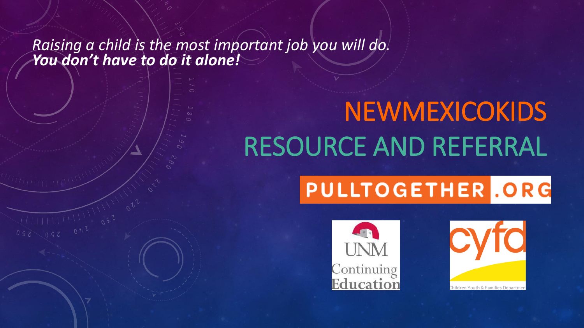#### *Raising a child is the most important job you will do. You don't have to do it alone!*

 $111110222$ 

# NEWMEXICOKIDS RESOURCE AND REFERRAL

## PULLTOGETHER .ORG



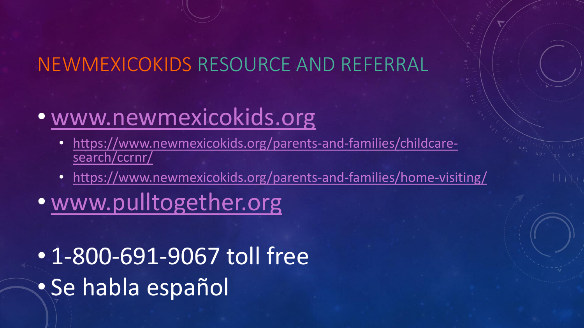### NEWMEXICOKIDS RESOURCE AND REFERRAL

### • [www.newmexicokids.org](http://www.newmexicokids.org/)

- [https://www.newmexicokids.org/parents-and-families/childcare](https://www.newmexicokids.org/parents-and-families/childcare-search/ccrnr/)[search/ccrnr/](https://www.newmexicokids.org/parents-and-families/childcare-search/ccrnr/)
- <https://www.newmexicokids.org/parents-and-families/home-visiting/>
- [www.pulltogether.org](http://www.pulltogether.org/)
- 1-800-691-9067 toll free • Se habla español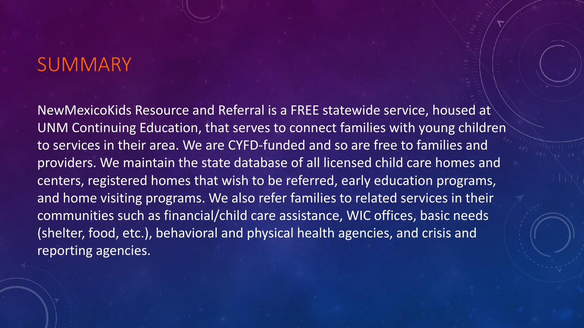#### **SUMMARY**

NewMexicoKids Resource and Referral is a FREE statewide service, housed at UNM Continuing Education, that serves to connect families with young children to services in their area. We are CYFD-funded and so are free to families and providers. We maintain the state database of all licensed child care homes and centers, registered homes that wish to be referred, early education programs, and home visiting programs. We also refer families to related services in their communities such as financial/child care assistance, WIC offices, basic needs (shelter, food, etc.), behavioral and physical health agencies, and crisis and reporting agencies.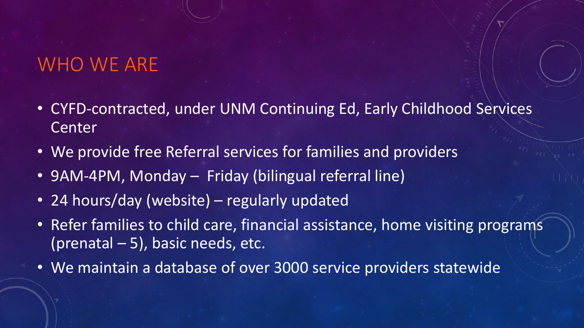### WHO WE ARE

- CYFD-contracted, under UNM Continuing Ed, Early Childhood Services Center
- We provide free Referral services for families and providers
- 9AM-4PM, Monday Friday (bilingual referral line)
- 24 hours/day (website) regularly updated
- Refer families to child care, financial assistance, home visiting programs (prenatal – 5), basic needs, etc.
- We maintain a database of over 3000 service providers statewide